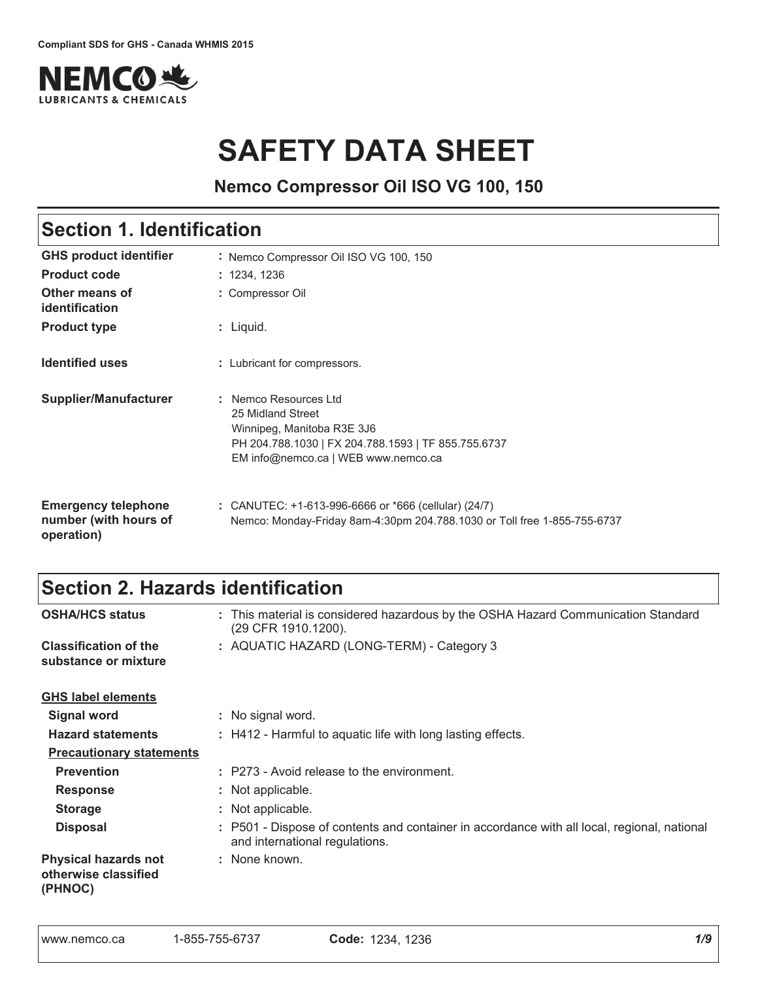

# **SAFETY DATA SHEET**

**Nemco Compressor Oil ISO VG 100, 150**

## Section 1. Identification

| <b>GHS product identifier</b>                                     | : Nemco Compressor Oil ISO VG 100, 150                                                                                                                                 |
|-------------------------------------------------------------------|------------------------------------------------------------------------------------------------------------------------------------------------------------------------|
| <b>Product code</b>                                               | : 1234, 1236                                                                                                                                                           |
| Other means of<br>identification                                  | : Compressor Oil                                                                                                                                                       |
| <b>Product type</b>                                               | : Liquid.                                                                                                                                                              |
| <b>Identified uses</b>                                            | : Lubricant for compressors.                                                                                                                                           |
| Supplier/Manufacturer                                             | : Nemco Resources Ltd<br>25 Midland Street<br>Winnipeg, Manitoba R3E 3J6<br>PH 204.788.1030   FX 204.788.1593   TF 855.755.6737<br>EM info@nemco.ca   WEB www.nemco.ca |
| <b>Emergency telephone</b><br>number (with hours of<br>operation) | : CANUTEC: $+1-613-996-6666$ or $*666$ (cellular) (24/7)<br>Nemco: Monday-Friday 8am-4:30pm 204.788.1030 or Toll free 1-855-755-6737                                   |

### Section 2. Hazards identification

| <b>OSHA/HCS status</b>                                         | : This material is considered hazardous by the OSHA Hazard Communication Standard<br>(29 CFR 1910.1200).                      |
|----------------------------------------------------------------|-------------------------------------------------------------------------------------------------------------------------------|
| <b>Classification of the</b><br>substance or mixture           | : AQUATIC HAZARD (LONG-TERM) - Category 3                                                                                     |
| <b>GHS label elements</b>                                      |                                                                                                                               |
| <b>Signal word</b>                                             | : No signal word.                                                                                                             |
| <b>Hazard statements</b>                                       | : H412 - Harmful to aquatic life with long lasting effects.                                                                   |
| <b>Precautionary statements</b>                                |                                                                                                                               |
| <b>Prevention</b>                                              | : P273 - Avoid release to the environment.                                                                                    |
| <b>Response</b>                                                | : Not applicable.                                                                                                             |
| <b>Storage</b>                                                 | : Not applicable.                                                                                                             |
| <b>Disposal</b>                                                | : P501 - Dispose of contents and container in accordance with all local, regional, national<br>and international regulations. |
| <b>Physical hazards not</b><br>otherwise classified<br>(PHNOC) | : None known.                                                                                                                 |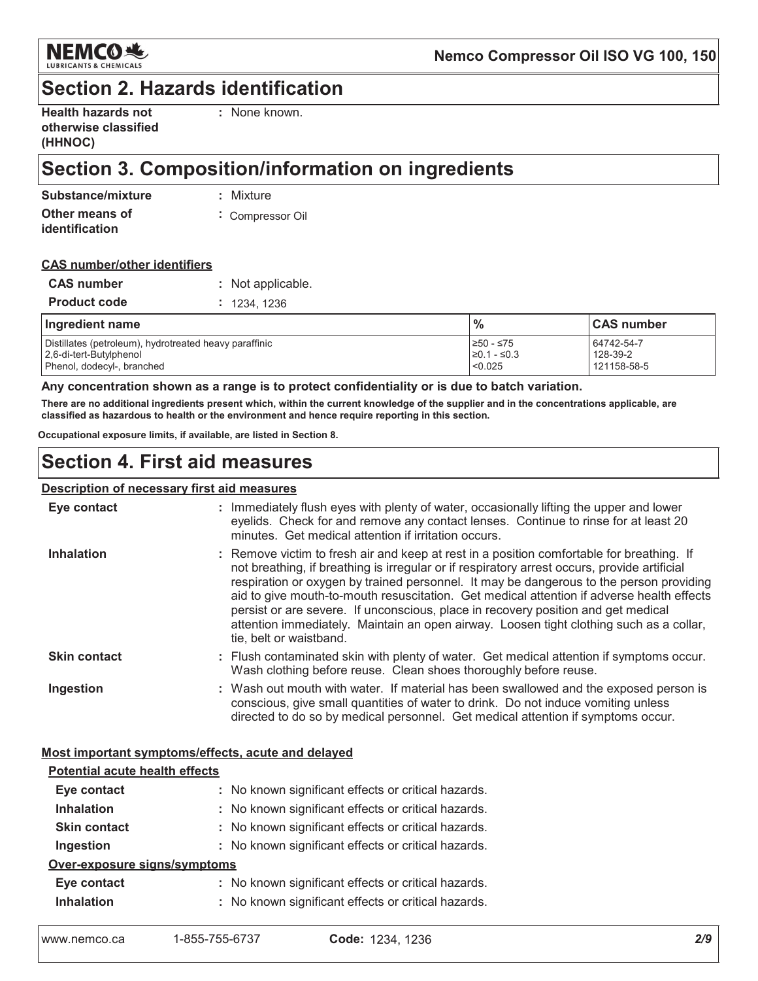

### **Section 2. Hazards identification**

| <b>Health hazards not</b> |  |
|---------------------------|--|
| otherwise classified      |  |
| (HHNOC)                   |  |

: None known.

## Section 3. Composition/information on ingredients

| Substance/mixture | : Mixture      |
|-------------------|----------------|
| Other means of    | Compressor Oil |
| identification    |                |

#### **CAS number/other identifiers**

| <b>CAS</b> number   | : Not applicable. |
|---------------------|-------------------|
| <b>Product code</b> | : 1234.1236       |

| Ingredient name                                        | $\frac{0}{0}$         | ∣CAS number |
|--------------------------------------------------------|-----------------------|-------------|
| Distillates (petroleum), hydrotreated heavy paraffinic | l≥50 - ≤75            | 64742-54-7  |
| 2.6-di-tert-Butylphenol                                | $\geq 0.1 - \leq 0.3$ | 128-39-2    |
| Phenol, dodecyl-, branched                             | < 0.025               | 121158-58-5 |

#### Any concentration shown as a range is to protect confidentiality or is due to batch variation.

There are no additional ingredients present which, within the current knowledge of the supplier and in the concentrations applicable, are classified as hazardous to health or the environment and hence require reporting in this section.

Occupational exposure limits, if available, are listed in Section 8.

### **Section 4. First aid measures**

#### Description of necessary first aid measures

| Eye contact         | : Immediately flush eyes with plenty of water, occasionally lifting the upper and lower<br>eyelids. Check for and remove any contact lenses. Continue to rinse for at least 20<br>minutes. Get medical attention if irritation occurs.                                                                                                                                                                                                                                                                                                                                                       |
|---------------------|----------------------------------------------------------------------------------------------------------------------------------------------------------------------------------------------------------------------------------------------------------------------------------------------------------------------------------------------------------------------------------------------------------------------------------------------------------------------------------------------------------------------------------------------------------------------------------------------|
| <b>Inhalation</b>   | : Remove victim to fresh air and keep at rest in a position comfortable for breathing. If<br>not breathing, if breathing is irregular or if respiratory arrest occurs, provide artificial<br>respiration or oxygen by trained personnel. It may be dangerous to the person providing<br>aid to give mouth-to-mouth resuscitation. Get medical attention if adverse health effects<br>persist or are severe. If unconscious, place in recovery position and get medical<br>attention immediately. Maintain an open airway. Loosen tight clothing such as a collar,<br>tie, belt or waistband. |
| <b>Skin contact</b> | : Flush contaminated skin with plenty of water. Get medical attention if symptoms occur.<br>Wash clothing before reuse. Clean shoes thoroughly before reuse.                                                                                                                                                                                                                                                                                                                                                                                                                                 |
| Ingestion           | : Wash out mouth with water. If material has been swallowed and the exposed person is<br>conscious, give small quantities of water to drink. Do not induce vomiting unless<br>directed to do so by medical personnel. Get medical attention if symptoms occur.                                                                                                                                                                                                                                                                                                                               |

#### Most important symptoms/effects, acute and delayed

| <b>Potential acute health effects</b> |                                                     |
|---------------------------------------|-----------------------------------------------------|
| Eye contact                           | : No known significant effects or critical hazards. |
| <b>Inhalation</b>                     | : No known significant effects or critical hazards. |
| <b>Skin contact</b>                   | : No known significant effects or critical hazards. |
| Ingestion                             | : No known significant effects or critical hazards. |
| Over-exposure signs/symptoms          |                                                     |
| Eye contact                           | : No known significant effects or critical hazards. |
| <b>Inhalation</b>                     | : No known significant effects or critical hazards. |
|                                       |                                                     |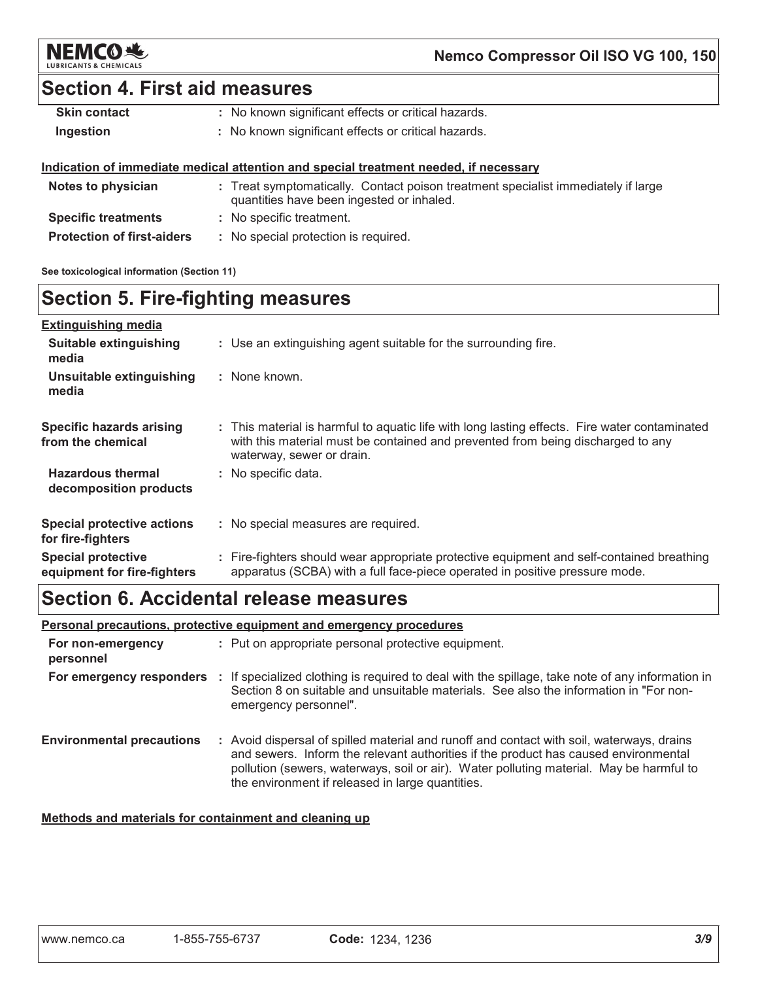

### **Section 4. First aid measures**

| <b>Skin contact</b> | : No known significant effects or critical hazards. |
|---------------------|-----------------------------------------------------|
| Ingestion           | : No known significant effects or critical hazards. |

#### Indication of immediate medical attention and special treatment needed, if necessary

| Notes to physician                | : Treat symptomatically. Contact poison treatment specialist immediately if large<br>quantities have been ingested or inhaled. |
|-----------------------------------|--------------------------------------------------------------------------------------------------------------------------------|
| <b>Specific treatments</b>        | : No specific treatment.                                                                                                       |
| <b>Protection of first-aiders</b> | : No special protection is required.                                                                                           |

See toxicological information (Section 11)

### **Section 5. Fire-fighting measures**

| <b>Extinguishing media</b>                               |                                                                                                                                                                                                               |
|----------------------------------------------------------|---------------------------------------------------------------------------------------------------------------------------------------------------------------------------------------------------------------|
| <b>Suitable extinguishing</b><br>media                   | : Use an extinguishing agent suitable for the surrounding fire.                                                                                                                                               |
| Unsuitable extinguishing<br>media                        | : None known.                                                                                                                                                                                                 |
| Specific hazards arising<br>from the chemical            | : This material is harmful to aquatic life with long lasting effects. Fire water contaminated<br>with this material must be contained and prevented from being discharged to any<br>waterway, sewer or drain. |
| <b>Hazardous thermal</b><br>decomposition products       | : No specific data.                                                                                                                                                                                           |
| <b>Special protective actions</b><br>for fire-fighters   | : No special measures are required.                                                                                                                                                                           |
| <b>Special protective</b><br>equipment for fire-fighters | : Fire-fighters should wear appropriate protective equipment and self-contained breathing<br>apparatus (SCBA) with a full face-piece operated in positive pressure mode.                                      |

### Section 6. Accidental release measures

Personal precautions, protective equipment and emergency procedures

| For non-emergency<br>personnel   | : Put on appropriate personal protective equipment.                                                                                                                                                                                                                                                                             |  |
|----------------------------------|---------------------------------------------------------------------------------------------------------------------------------------------------------------------------------------------------------------------------------------------------------------------------------------------------------------------------------|--|
|                                  | For emergency responders : If specialized clothing is required to deal with the spillage, take note of any information in<br>Section 8 on suitable and unsuitable materials. See also the information in "For non-<br>emergency personnel".                                                                                     |  |
| <b>Environmental precautions</b> | : Avoid dispersal of spilled material and runoff and contact with soil, waterways, drains<br>and sewers. Inform the relevant authorities if the product has caused environmental<br>pollution (sewers, waterways, soil or air). Water polluting material. May be harmful to<br>the environment if released in large quantities. |  |

### Methods and materials for containment and cleaning up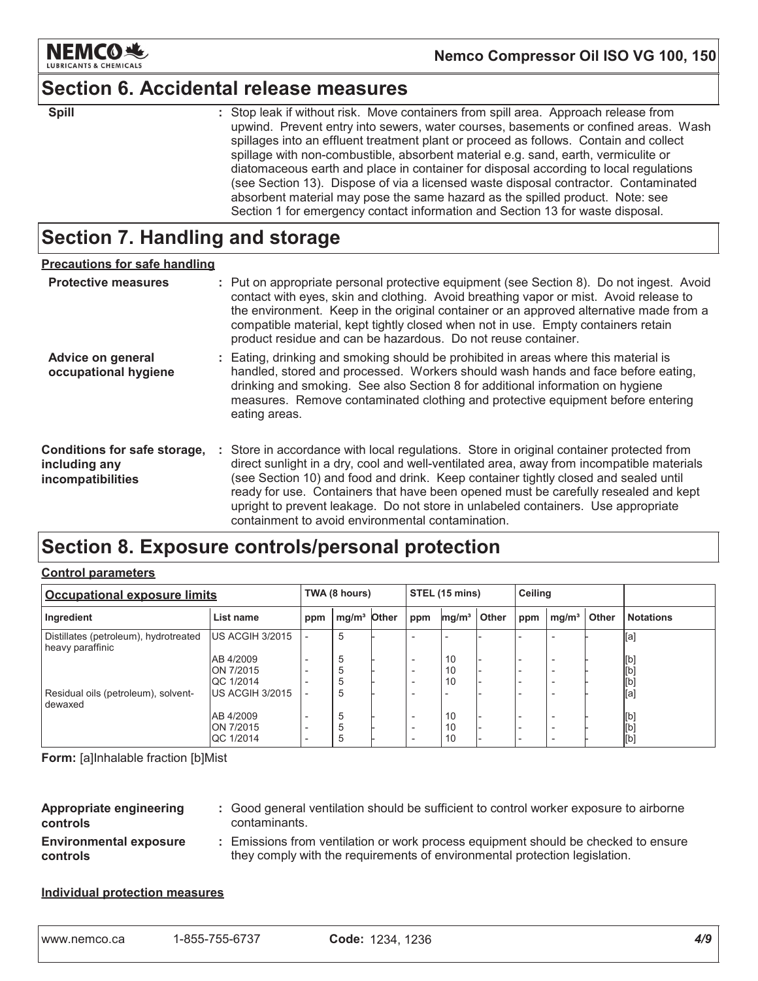

### **Section 6. Accidental release measures**

| ×        |    |
|----------|----|
| I        | ı  |
| ۰.<br>., | ۰. |

: Stop leak if without risk. Move containers from spill area. Approach release from upwind. Prevent entry into sewers, water courses, basements or confined areas. Wash spillages into an effluent treatment plant or proceed as follows. Contain and collect spillage with non-combustible, absorbent material e.g. sand, earth, vermiculite or diatomaceous earth and place in container for disposal according to local regulations (see Section 13). Dispose of via a licensed waste disposal contractor. Contaminated absorbent material may pose the same hazard as the spilled product. Note: see Section 1 for emergency contact information and Section 13 for waste disposal.

### Section 7. Handling and storage

| <b>Precautions for safe handling</b>                               |                                                                                                                                                                                                                                                                                                                                                                                                                                                                                                               |
|--------------------------------------------------------------------|---------------------------------------------------------------------------------------------------------------------------------------------------------------------------------------------------------------------------------------------------------------------------------------------------------------------------------------------------------------------------------------------------------------------------------------------------------------------------------------------------------------|
| <b>Protective measures</b>                                         | : Put on appropriate personal protective equipment (see Section 8). Do not ingest. Avoid<br>contact with eyes, skin and clothing. Avoid breathing vapor or mist. Avoid release to<br>the environment. Keep in the original container or an approved alternative made from a<br>compatible material, kept tightly closed when not in use. Empty containers retain<br>product residue and can be hazardous. Do not reuse container.                                                                             |
| <b>Advice on general</b><br>occupational hygiene                   | : Eating, drinking and smoking should be prohibited in areas where this material is<br>handled, stored and processed. Workers should wash hands and face before eating,<br>drinking and smoking. See also Section 8 for additional information on hygiene<br>measures. Remove contaminated clothing and protective equipment before entering<br>eating areas.                                                                                                                                                 |
| Conditions for safe storage,<br>including any<br>incompatibilities | : Store in accordance with local regulations. Store in original container protected from<br>direct sunlight in a dry, cool and well-ventilated area, away from incompatible materials<br>(see Section 10) and food and drink. Keep container tightly closed and sealed until<br>ready for use. Containers that have been opened must be carefully resealed and kept<br>upright to prevent leakage. Do not store in unlabeled containers. Use appropriate<br>containment to avoid environmental contamination. |

### Section 8. Exposure controls/personal protection

#### **Control parameters**

| <b>Occupational exposure limits</b>                       |                               | TWA (8 hours) |                         |  | STEL (15 mins)           |                   |       | Ceiling                  |                          |       |                  |
|-----------------------------------------------------------|-------------------------------|---------------|-------------------------|--|--------------------------|-------------------|-------|--------------------------|--------------------------|-------|------------------|
| Ingredient                                                | List name                     | ppm           | mg/m <sup>3</sup> Other |  | ppm                      | mg/m <sup>3</sup> | Other | ppm                      | mg/m <sup>3</sup>        | Other | <b>Notations</b> |
| Distillates (petroleum), hydrotreated<br>heavy paraffinic | US ACGIH 3/2015               |               | 5                       |  |                          |                   |       |                          |                          |       | [a]              |
|                                                           | AB 4/2009<br>ON 7/2015        |               | 5<br>5                  |  | $\overline{\phantom{a}}$ | 10<br>10          |       |                          | $\overline{\phantom{a}}$ |       | [b]<br>[b]       |
|                                                           | <b>QC 1/2014</b>              |               | 5                       |  | $\overline{\phantom{0}}$ | 10                |       |                          |                          |       | [b]              |
| Residual oils (petroleum), solvent-<br>dewaxed            | <b>IUS ACGIH 3/2015</b>       |               | 5                       |  |                          |                   |       |                          |                          |       | [a]              |
|                                                           | AB 4/2009                     |               | 5                       |  | $\overline{\phantom{0}}$ | 10                |       |                          | $\overline{\phantom{a}}$ |       | [b]              |
|                                                           | ON 7/2015<br><b>QC 1/2014</b> |               | 5<br>5                  |  | $\overline{\phantom{0}}$ | 10<br>10          |       | $\overline{\phantom{0}}$ | $\overline{\phantom{0}}$ |       | [b]<br>[b]       |

Form: [a]Inhalable fraction [b]Mist

| Appropriate engineering<br>controls       | : Good general ventilation should be sufficient to control worker exposure to airborne<br>contaminants.                                                          |
|-------------------------------------------|------------------------------------------------------------------------------------------------------------------------------------------------------------------|
| <b>Environmental exposure</b><br>controls | : Emissions from ventilation or work process equipment should be checked to ensure<br>they comply with the requirements of environmental protection legislation. |

#### **Individual protection measures**

| 1-855-755-6737<br>I www.nemco.ca | Code: 1234, 1236 |  |
|----------------------------------|------------------|--|
|----------------------------------|------------------|--|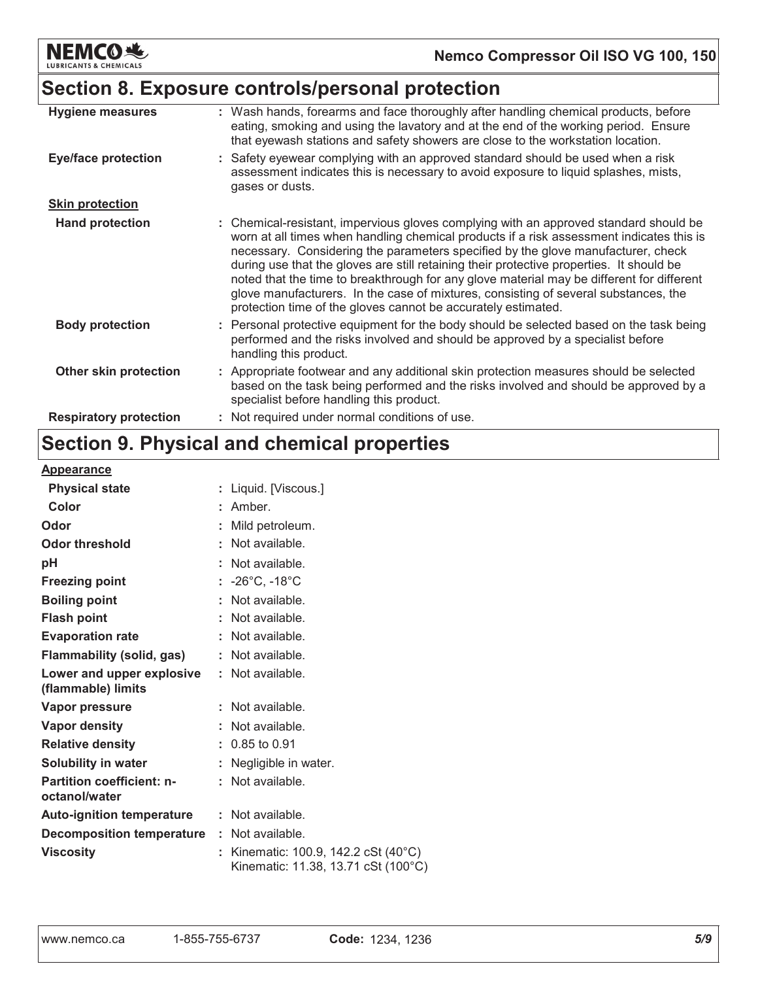

### Section 8. Exposure controls/personal protection

| <b>Hygiene measures</b>       | : Wash hands, forearms and face thoroughly after handling chemical products, before<br>eating, smoking and using the lavatory and at the end of the working period. Ensure<br>that eyewash stations and safety showers are close to the workstation location.                                                                                                                                                                                                                                                                                                                                                          |
|-------------------------------|------------------------------------------------------------------------------------------------------------------------------------------------------------------------------------------------------------------------------------------------------------------------------------------------------------------------------------------------------------------------------------------------------------------------------------------------------------------------------------------------------------------------------------------------------------------------------------------------------------------------|
| <b>Eye/face protection</b>    | : Safety eyewear complying with an approved standard should be used when a risk<br>assessment indicates this is necessary to avoid exposure to liquid splashes, mists,<br>gases or dusts.                                                                                                                                                                                                                                                                                                                                                                                                                              |
| <b>Skin protection</b>        |                                                                                                                                                                                                                                                                                                                                                                                                                                                                                                                                                                                                                        |
| <b>Hand protection</b>        | : Chemical-resistant, impervious gloves complying with an approved standard should be<br>worn at all times when handling chemical products if a risk assessment indicates this is<br>necessary. Considering the parameters specified by the glove manufacturer, check<br>during use that the gloves are still retaining their protective properties. It should be<br>noted that the time to breakthrough for any glove material may be different for different<br>glove manufacturers. In the case of mixtures, consisting of several substances, the<br>protection time of the gloves cannot be accurately estimated. |
| <b>Body protection</b>        | : Personal protective equipment for the body should be selected based on the task being<br>performed and the risks involved and should be approved by a specialist before<br>handling this product.                                                                                                                                                                                                                                                                                                                                                                                                                    |
| Other skin protection         | : Appropriate footwear and any additional skin protection measures should be selected<br>based on the task being performed and the risks involved and should be approved by a<br>specialist before handling this product.                                                                                                                                                                                                                                                                                                                                                                                              |
| <b>Respiratory protection</b> | : Not required under normal conditions of use.                                                                                                                                                                                                                                                                                                                                                                                                                                                                                                                                                                         |

# Section 9. Physical and chemical properties

#### **Appearance**

| <b>Physical state</b>                             | Liquid. [Viscous.]                                                        |
|---------------------------------------------------|---------------------------------------------------------------------------|
| Color                                             | Amber.                                                                    |
| Odor                                              | Mild petroleum.                                                           |
| <b>Odor threshold</b>                             | Not available.                                                            |
| рH                                                | Not available.                                                            |
| <b>Freezing point</b>                             | : $-26^{\circ}$ C, $-18^{\circ}$ C                                        |
| <b>Boiling point</b>                              | Not available.                                                            |
| <b>Flash point</b>                                | Not available.                                                            |
| <b>Evaporation rate</b>                           | Not available.                                                            |
| Flammability (solid, gas)                         | Not available.                                                            |
| Lower and upper explosive<br>(flammable) limits   | Not available.                                                            |
| <b>Vapor pressure</b>                             | Not available.                                                            |
| <b>Vapor density</b>                              | Not available.                                                            |
| <b>Relative density</b>                           | 0.85 to 0.91                                                              |
| <b>Solubility in water</b>                        | Negligible in water.                                                      |
| <b>Partition coefficient: n-</b><br>octanol/water | Not available.                                                            |
| <b>Auto-ignition temperature</b>                  | : Not available.                                                          |
| <b>Decomposition temperature : Not available.</b> |                                                                           |
| <b>Viscosity</b>                                  | Kinematic: 100.9, 142.2 cSt (40°C)<br>Kinematic: 11.38. 13.71 cSt (100°C) |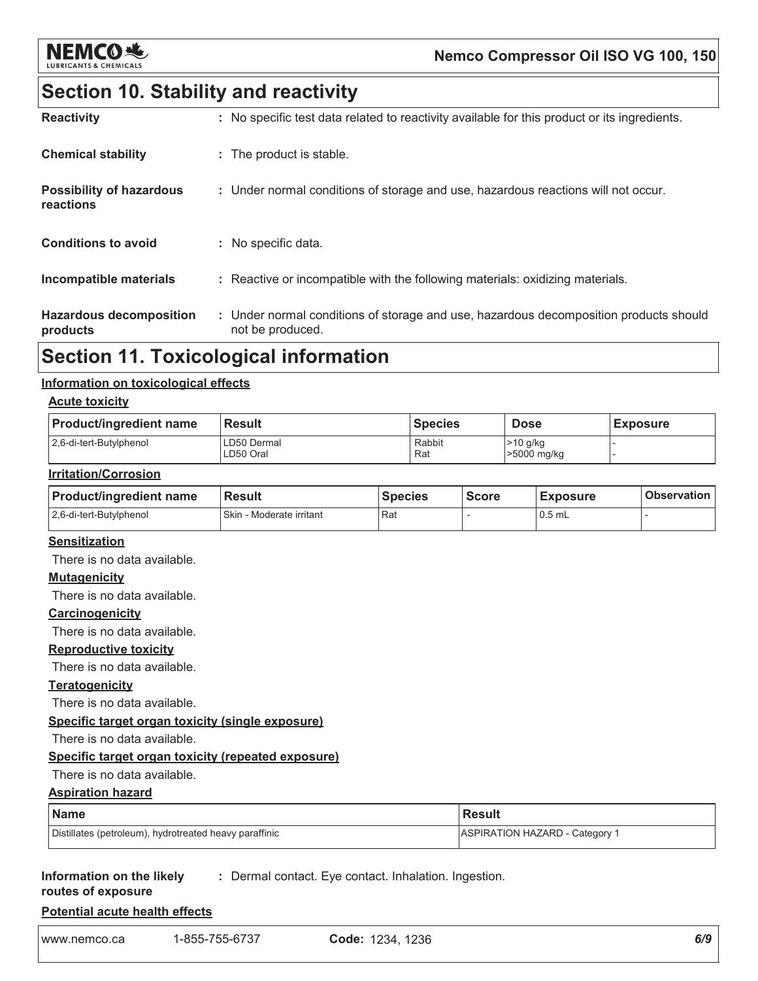

### Nemco Compressor Oil ISO VG 100, 150

### **Section 10. Stability and reactivity**

| <b>Reactivity</b>                            | : No specific test data related to reactivity available for this product or its ingredients.              |
|----------------------------------------------|-----------------------------------------------------------------------------------------------------------|
| <b>Chemical stability</b>                    | : The product is stable.                                                                                  |
| <b>Possibility of hazardous</b><br>reactions | : Under normal conditions of storage and use, hazardous reactions will not occur.                         |
| <b>Conditions to avoid</b>                   | : No specific data.                                                                                       |
| Incompatible materials                       | : Reactive or incompatible with the following materials: oxidizing materials.                             |
| <b>Hazardous decomposition</b><br>products   | : Under normal conditions of storage and use, hazardous decomposition products should<br>not be produced. |

### **Section 11. Toxicological information**

#### Information on toxicological effects

#### **Acute toxicity**

| <b>Product/ingredient name</b> | <b>Result</b>            | <b>Species</b> | <b>Dose</b>               | <b>Exposure</b> |
|--------------------------------|--------------------------|----------------|---------------------------|-----------------|
| 2.6-di-tert-Butylphenol        | LD50 Dermal<br>LD50 Oral | Rabbit<br>Rat  | $>10$ g/kg<br>>5000 mg/kg |                 |

#### **Irritation/Corrosion**

| <b>Product/ingredient name</b> | <b>Result</b>            | <b>Species</b> | <b>Score</b> | <b>Exposure</b> | <b>Observation</b> |
|--------------------------------|--------------------------|----------------|--------------|-----------------|--------------------|
| 2.6-di-tert-Butylphenol        | Skin - Moderate irritant | l Rat          |              | $0.5$ mL        |                    |

#### **Sensitization**

There is no data available.

#### **Mutagenicity**

There is no data available.

#### Carcinogenicity

There is no data available.

#### **Reproductive toxicity**

There is no data available.

#### **Teratogenicity**

There is no data available.

#### Specific target organ toxicity (single exposure)

There is no data available.

#### Specific target organ toxicity (repeated exposure)

#### There is no data available.

#### **Result Name ASPIRATION HAZARD - Category 1** Distillates (petroleum), hydrotreated heavy paraffinic

#### Information on the likely : Dermal contact. Eye contact. Inhalation. Ingestion.

routes of exposure

**Aspiration hazard** 

**Potential acute health effects** 

1-855-755-6737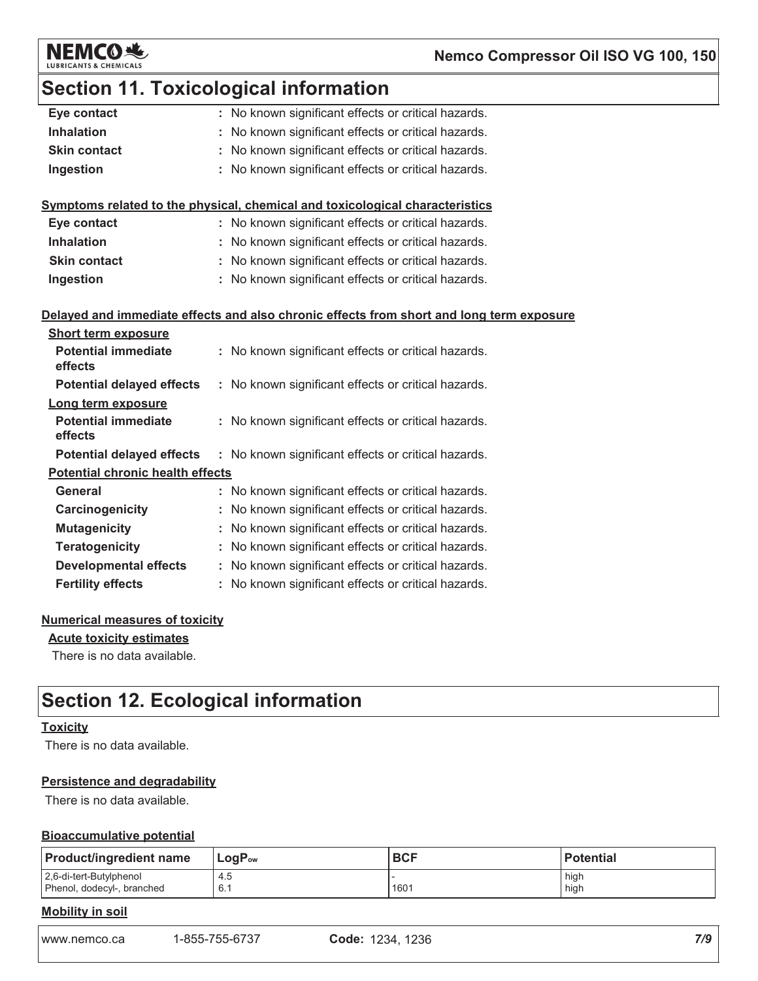

### Nemco Compressor Oil ISO VG 100, 150

### **Section 11. Toxicological information**

| Eye contact                             | : No known significant effects or critical hazards.                                      |
|-----------------------------------------|------------------------------------------------------------------------------------------|
| <b>Inhalation</b>                       | No known significant effects or critical hazards.                                        |
| <b>Skin contact</b>                     | : No known significant effects or critical hazards.                                      |
| Ingestion                               | : No known significant effects or critical hazards.                                      |
|                                         |                                                                                          |
|                                         | Symptoms related to the physical, chemical and toxicological characteristics             |
| Eye contact                             | : No known significant effects or critical hazards.                                      |
| <b>Inhalation</b>                       | : No known significant effects or critical hazards.                                      |
| <b>Skin contact</b>                     | : No known significant effects or critical hazards.                                      |
| Ingestion                               | : No known significant effects or critical hazards.                                      |
|                                         |                                                                                          |
|                                         | Delayed and immediate effects and also chronic effects from short and long term exposure |
| <b>Short term exposure</b>              |                                                                                          |
| <b>Potential immediate</b><br>effects   | : No known significant effects or critical hazards.                                      |
| <b>Potential delayed effects</b>        | : No known significant effects or critical hazards.                                      |
| Long term exposure                      |                                                                                          |
| <b>Potential immediate</b>              | : No known significant effects or critical hazards.                                      |
| effects                                 |                                                                                          |
| <b>Potential delayed effects</b>        | : No known significant effects or critical hazards.                                      |
| <b>Potential chronic health effects</b> |                                                                                          |
| General                                 | : No known significant effects or critical hazards.                                      |
| Carcinogenicity                         | : No known significant effects or critical hazards.                                      |
| <b>Mutagenicity</b>                     | No known significant effects or critical hazards.                                        |
| <b>Teratogenicity</b>                   | : No known significant effects or critical hazards.                                      |
| <b>Developmental effects</b>            | : No known significant effects or critical hazards.                                      |
| <b>Fertility effects</b>                | : No known significant effects or critical hazards.                                      |
|                                         |                                                                                          |

#### **Numerical measures of toxicity**

#### **Acute toxicity estimates**

There is no data available.

### **Section 12. Ecological information**

#### **Toxicity**

There is no data available.

#### **Persistence and degradability**

There is no data available.

#### **Bioaccumulative potential**

| <b>Product/ingredient name</b> | $LogP_{ow}$ | <b>BCF</b> | <b>Potential</b> |
|--------------------------------|-------------|------------|------------------|
| 2,6-di-tert-Butylphenol        | 4.5         | 1601       | high             |
| Phenol, dodecyl-, branched     | 6.1         |            | high             |

#### **Mobility in soil**

www.nemco.ca 1-855-755-6737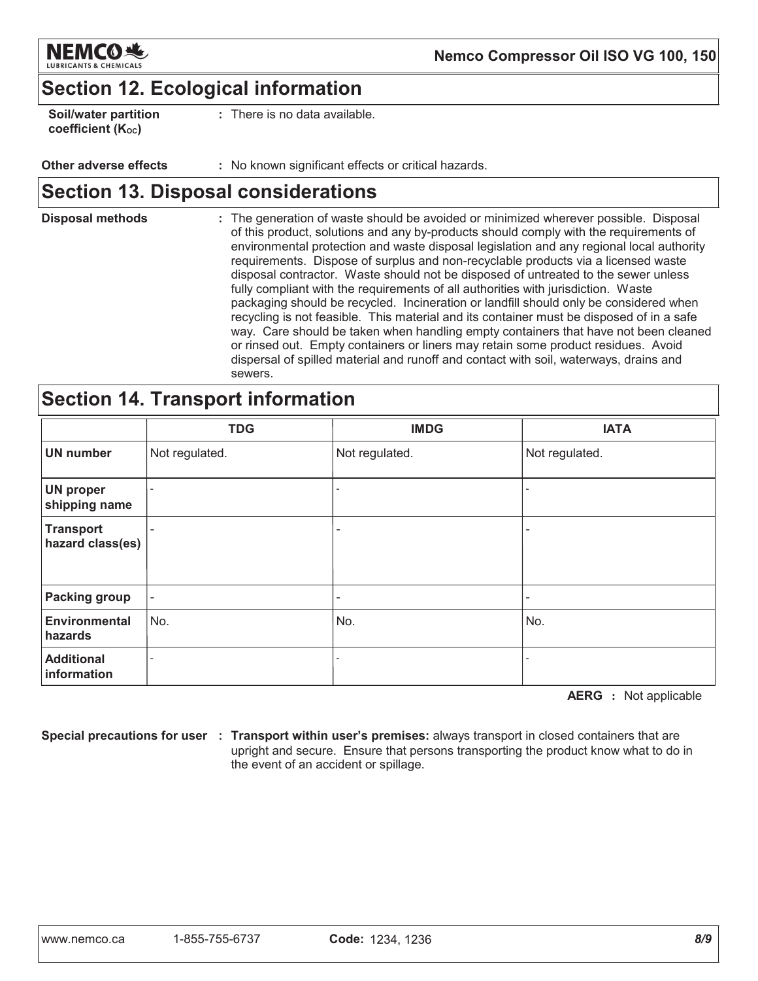

### **Section 12. Ecological information**

| <b>Soil/water partition</b> |  |  |
|-----------------------------|--|--|
| coefficient (Koc)           |  |  |

There is no data available.

#### Other adverse effects : No known significant effects or critical hazards.

### **Section 13. Disposal considerations**

**Disposal methods** : The generation of waste should be avoided or minimized wherever possible. Disposal of this product, solutions and any by-products should comply with the requirements of environmental protection and waste disposal legislation and any regional local authority requirements. Dispose of surplus and non-recyclable products via a licensed waste disposal contractor. Waste should not be disposed of untreated to the sewer unless fully compliant with the requirements of all authorities with jurisdiction. Waste packaging should be recycled. Incineration or landfill should only be considered when recycling is not feasible. This material and its container must be disposed of in a safe way. Care should be taken when handling empty containers that have not been cleaned or rinsed out. Empty containers or liners may retain some product residues. Avoid dispersal of spilled material and runoff and contact with soil, waterways, drains and sewers.

### **Section 14. Transport information**

|                                      | <b>TDG</b>               | <b>IMDG</b>              | <b>IATA</b>    |
|--------------------------------------|--------------------------|--------------------------|----------------|
| <b>UN number</b>                     | Not regulated.           | Not regulated.           | Not regulated. |
| <b>UN proper</b><br>shipping name    | $\overline{\phantom{a}}$ | $\overline{\phantom{0}}$ |                |
| <b>Transport</b><br>hazard class(es) | -                        | -                        |                |
| <b>Packing group</b>                 | $\overline{\phantom{a}}$ | -                        |                |
| Environmental<br>hazards             | No.                      | No.                      | No.            |
| <b>Additional</b><br>information     |                          |                          |                |

**AERG** : Not applicable

Special precautions for user : Transport within user's premises: always transport in closed containers that are upright and secure. Ensure that persons transporting the product know what to do in the event of an accident or spillage.